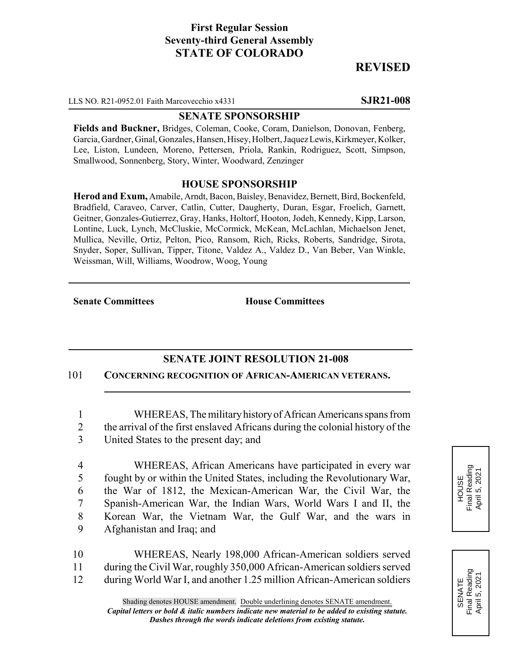## **First Regular Session Seventy-third General Assembly STATE OF COLORADO**

# **REVISED**

LLS NO. R21-0952.01 Faith Marcovecchio x4331 **SJR21-008**

#### **SENATE SPONSORSHIP**

**Fields and Buckner,** Bridges, Coleman, Cooke, Coram, Danielson, Donovan, Fenberg, Garcia, Gardner, Ginal, Gonzales, Hansen, Hisey, Holbert, Jaquez Lewis, Kirkmeyer, Kolker, Lee, Liston, Lundeen, Moreno, Pettersen, Priola, Rankin, Rodriguez, Scott, Simpson, Smallwood, Sonnenberg, Story, Winter, Woodward, Zenzinger

#### **HOUSE SPONSORSHIP**

**Herod and Exum,** Amabile, Arndt, Bacon, Baisley, Benavidez, Bernett, Bird, Bockenfeld, Bradfield, Caraveo, Carver, Catlin, Cutter, Daugherty, Duran, Esgar, Froelich, Garnett, Geitner, Gonzales-Gutierrez, Gray, Hanks, Holtorf, Hooton, Jodeh, Kennedy, Kipp, Larson, Lontine, Luck, Lynch, McCluskie, McCormick, McKean, McLachlan, Michaelson Jenet, Mullica, Neville, Ortiz, Pelton, Pico, Ransom, Rich, Ricks, Roberts, Sandridge, Sirota, Snyder, Soper, Sullivan, Tipper, Titone, Valdez A., Valdez D., Van Beber, Van Winkle, Weissman, Will, Williams, Woodrow, Woog, Young

**Senate Committees House Committees** 

### **SENATE JOINT RESOLUTION 21-008**

101 **CONCERNING RECOGNITION OF AFRICAN-AMERICAN VETERANS.**

1 WHEREAS, The military history of African Americans spans from 2 the arrival of the first enslaved Africans during the colonial history of the 3 United States to the present day; and

 WHEREAS, African Americans have participated in every war fought by or within the United States, including the Revolutionary War, the War of 1812, the Mexican-American War, the Civil War, the Spanish-American War, the Indian Wars, World Wars I and II, the Korean War, the Vietnam War, the Gulf War, and the wars in Afghanistan and Iraq; and

10 WHEREAS, Nearly 198,000 African-American soldiers served 11 during the Civil War, roughly 350,000 African-American soldiers served 12 during World War I, and another 1.25 million African-American soldiers